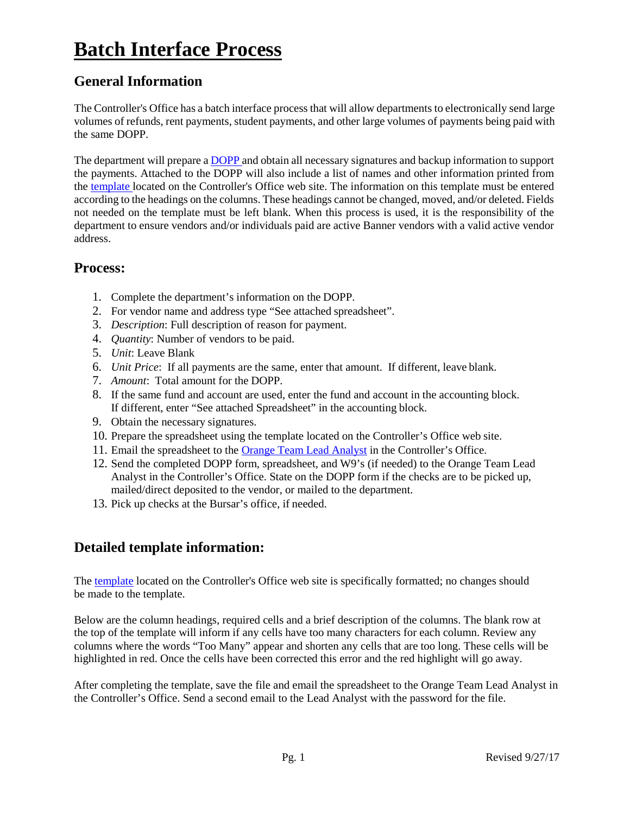# **Batch Interface Process**

## **General Information**

The Controller's Office has a batch interface process that will allow departments to electronically send large volumes of refunds, rent payments, student payments, and other large volumes of payments being paid with the same DOPP.

The department will prepare a **DOPP** and obtain all necessary signatures and backup information to support the payments. Attached to the DOPP will also include a list of names and other information printed from the [template l](https://www.controller.vt.edu/content/dam/controller_vt_edu/forms/accountspayable/batchsetup.xlt)ocated on the Controller's Office web site. The information on this template must be entered according to the headings on the columns. These headings cannot be changed, moved, and/or deleted. Fields not needed on the template must be left blank. When this process is used, it is the responsibility of the department to ensure vendors and/or individuals paid are active Banner vendors with a valid active vendor address.

#### **Process:**

- 1. Complete the department's information on the DOPP.
- 2. For vendor name and address type "See attached spreadsheet".
- 3. *Description*: Full description of reason for payment.
- 4. *Quantity*: Number of vendors to be paid.
- 5. *Unit*: Leave Blank
- 6. *Unit Price*: If all payments are the same, enter that amount. If different, leave blank.
- 7. *Amount*: Total amount for the DOPP.
- 8. If the same fund and account are used, enter the fund and account in the accounting block. If different, enter "See attached Spreadsheet" in the accounting block.
- 9. Obtain the necessary signatures.
- 10. Prepare the spreadsheet using the template located on the Controller's Office web site.
- 11. Email the spreadsheet to the [Orange Team Lead Analyst](https://www.controller.vt.edu/about/staffdirectory/accountingoperations.html#select=3) in the Controller's Office.
- 12. Send the completed DOPP form, spreadsheet, and W9's (if needed) to the Orange Team Lead Analyst in the Controller's Office. State on the DOPP form if the checks are to be picked up, mailed/direct deposited to the vendor, or mailed to the department.
- 13. Pick up checks at the Bursar's office, if needed.

## **Detailed template information:**

The [template](https://www.controller.vt.edu/content/dam/controller_vt_edu/forms/accountspayable/batchsetup.xlt) located on the Controller's Office web site is specifically formatted; no changes should be made to the template.

Below are the column headings, required cells and a brief description of the columns. The blank row at the top of the template will inform if any cells have too many characters for each column. Review any columns where the words "Too Many" appear and shorten any cells that are too long. These cells will be highlighted in red. Once the cells have been corrected this error and the red highlight will go away.

After completing the template, save the file and email the spreadsheet to the Orange Team Lead Analyst in the Controller's Office. Send a second email to the Lead Analyst with the password for the file.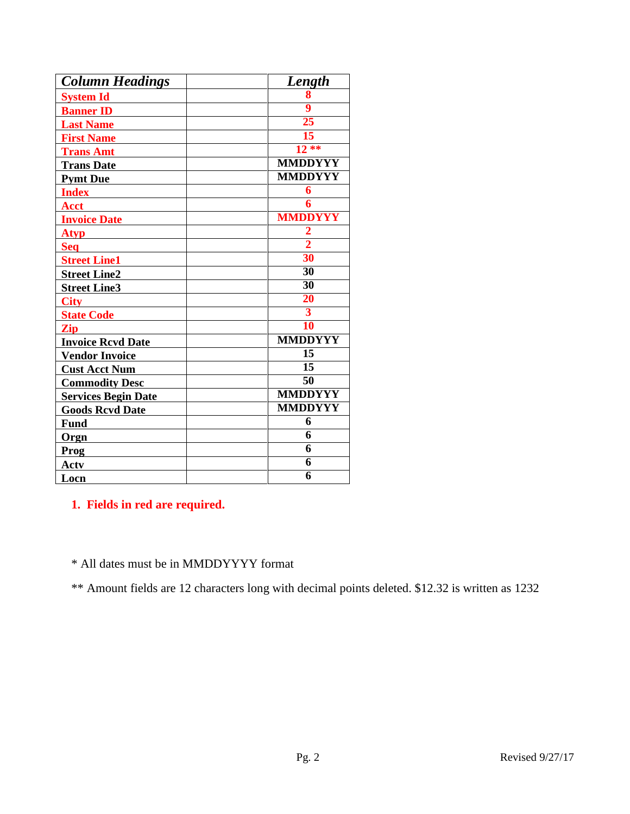| <b>Column Headings</b>     | Length                  |
|----------------------------|-------------------------|
| <b>System Id</b>           | 8                       |
| <b>Banner ID</b>           | $\overline{\mathbf{9}}$ |
| <b>Last Name</b>           | 25                      |
| <b>First Name</b>          | 15                      |
| <b>Trans Amt</b>           | $12**$                  |
| <b>Trans Date</b>          | <b>MMDDYYY</b>          |
| <b>Pymt Due</b>            | <b>MMDDYYY</b>          |
| <b>Index</b>               | 6                       |
| <b>Acct</b>                | $\overline{6}$          |
| <b>Invoice Date</b>        | <b>MMDDYYY</b>          |
| <b>Atyp</b>                | $\frac{2}{2}$           |
| <b>Seq</b>                 |                         |
| <b>Street Line1</b>        | 30                      |
| <b>Street Line2</b>        | 30                      |
| <b>Street Line3</b>        | $\overline{30}$         |
| <b>City</b>                | $\overline{20}$         |
| <b>State Code</b>          | $\overline{\mathbf{3}}$ |
| Zip                        | 10                      |
| <b>Invoice Rcvd Date</b>   | <b>MMDDYYY</b>          |
| <b>Vendor Invoice</b>      | $\overline{15}$         |
| <b>Cust Acct Num</b>       | $\overline{15}$         |
| <b>Commodity Desc</b>      | $\overline{50}$         |
| <b>Services Begin Date</b> | <b>MMDDYYY</b>          |
| <b>Goods Revd Date</b>     | <b>MMDDYYY</b>          |
| <b>Fund</b>                | 6                       |
| Orgn                       | $\overline{6}$          |
| Prog                       | $\overline{6}$          |
| <b>Actv</b>                | 6                       |
| Locn                       | 6                       |

**1. Fields in red are required.**

\* All dates must be in MMDDYYYY format

\*\* Amount fields are 12 characters long with decimal points deleted. \$12.32 is written as 1232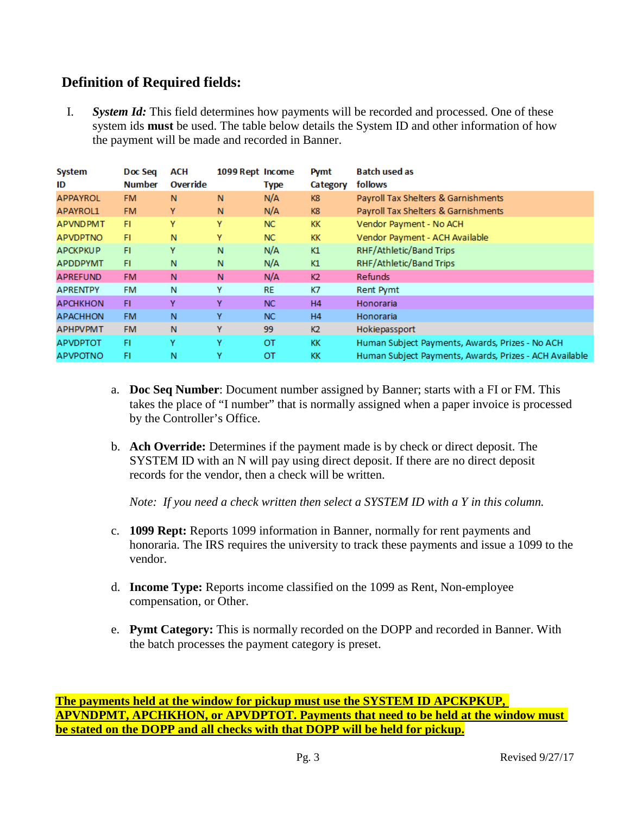#### **Definition of Required fields:**

I. *System Id:* This field determines how payments will be recorded and processed. One of these system ids **must** be used. The table below details the System ID and other information of how the payment will be made and recorded in Banner.

| System<br>ID    | Doc Seq<br><b>Number</b> | ACH<br>Override | 1099 Rept Income | <b>Type</b> | <b>Pymt</b><br>Category | <b>Batch used as</b><br>follows                        |
|-----------------|--------------------------|-----------------|------------------|-------------|-------------------------|--------------------------------------------------------|
| <b>APPAYROL</b> | <b>FM</b>                | N               | N                | N/A         | K8                      | Payroll Tax Shelters & Garnishments                    |
| APAYROL1        | <b>FM</b>                | Y               | N                | N/A         | K8                      | Payroll Tax Shelters & Garnishments                    |
| <b>APVNDPMT</b> | FI.                      | Υ               | Y                | NC.         | <b>KK</b>               | Vendor Payment - No ACH                                |
| <b>APVDPTNO</b> | FI.                      | N               | Y                | NC.         | KK.                     | Vendor Payment - ACH Available                         |
| <b>APCKPKUP</b> | FI                       | Υ               | N                | N/A         | K1                      | RHF/Athletic/Band Trips                                |
| <b>APDDPYMT</b> | FI.                      | N               | N                | N/A         | K1                      | RHF/Athletic/Band Trips                                |
| <b>APREFUND</b> | <b>FM</b>                | N               | N                | N/A         | K <sub>2</sub>          | <b>Refunds</b>                                         |
| <b>APRENTPY</b> | <b>FM</b>                | N               | Y                | <b>RE</b>   | K7                      | Rent Pymt                                              |
| <b>APCHKHON</b> | FI.                      | Y               | Y                | NC.         | H <sub>4</sub>          | Honoraria                                              |
| <b>APACHHON</b> | <b>FM</b>                | N               | Y                | NC.         | H4                      | Honoraria                                              |
| <b>APHPVPMT</b> | <b>FM</b>                | N               | Υ                | 99          | K <sub>2</sub>          | Hokiepassport                                          |
| <b>APVDPTOT</b> | FI                       | Υ               | Υ                | ОT          | KK                      | Human Subject Payments, Awards, Prizes - No ACH        |
| <b>APVPOTNO</b> | FI                       | N               | Y                | ОT          | ĸк                      | Human Subject Payments, Awards, Prizes - ACH Available |

- a. **Doc Seq Number**: Document number assigned by Banner; starts with a FI or FM. This takes the place of "I number" that is normally assigned when a paper invoice is processed by the Controller's Office.
- b. **Ach Override:** Determines if the payment made is by check or direct deposit. The SYSTEM ID with an N will pay using direct deposit. If there are no direct deposit records for the vendor, then a check will be written.

*Note: If you need a check written then select a SYSTEM ID with a Y in this column.*

- c. **1099 Rept:** Reports 1099 information in Banner, normally for rent payments and honoraria. The IRS requires the university to track these payments and issue a 1099 to the vendor.
- d. **Income Type:** Reports income classified on the 1099 as Rent, Non-employee compensation, or Other.
- e. **Pymt Category:** This is normally recorded on the DOPP and recorded in Banner. With the batch processes the payment category is preset.

**The payments held at the window for pickup must use the SYSTEM ID APCKPKUP, APVNDPMT, APCHKHON, or APVDPTOT. Payments that need to be held at the window must be stated on the DOPP and all checks with that DOPP will be held for pickup.**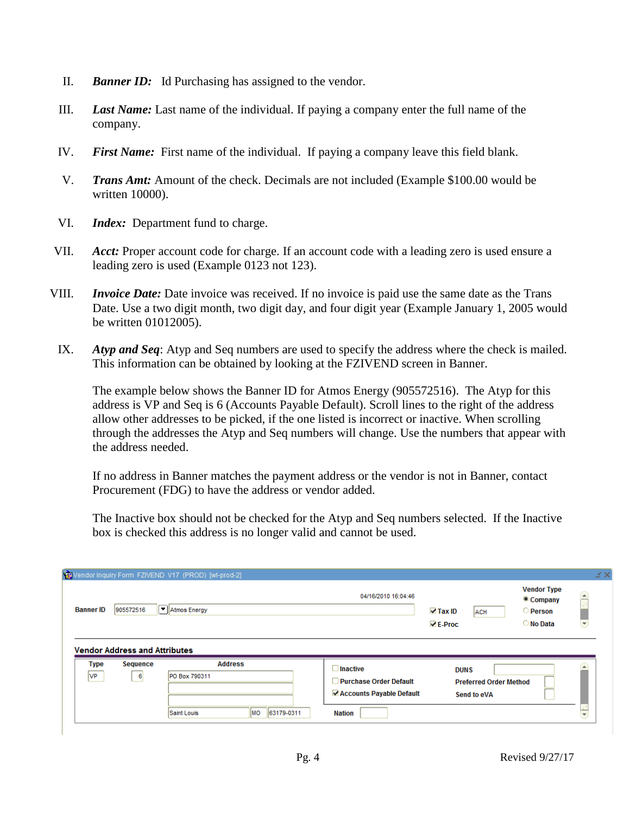- II. *Banner ID:* Id Purchasing has assigned to the vendor.
- III. *Last Name:* Last name of the individual. If paying a company enter the full name of the company.
- IV. *First Name:* First name of the individual. If paying a company leave this field blank.
- V. *Trans Amt:* Amount of the check. Decimals are not included (Example \$100.00 would be written 10000).
- VI. *Index:* Department fund to charge.
- VII. *Acct:* Proper account code for charge. If an account code with a leading zero is used ensure a leading zero is used (Example 0123 not 123).
- VIII. *Invoice Date:* Date invoice was received. If no invoice is paid use the same date as the Trans Date. Use a two digit month, two digit day, and four digit year (Example January 1, 2005 would be written 01012005).
- IX. *Atyp and Seq*: Atyp and Seq numbers are used to specify the address where the check is mailed. This information can be obtained by looking at the FZIVEND screen in Banner.

The example below shows the Banner ID for Atmos Energy (905572516). The Atyp for this address is VP and Seq is 6 (Accounts Payable Default). Scroll lines to the right of the address allow other addresses to be picked, if the one listed is incorrect or inactive. When scrolling through the addresses the Atyp and Seq numbers will change. Use the numbers that appear with the address needed.

If no address in Banner matches the payment address or the vendor is not in Banner, contact Procurement (FDG) to have the address or vendor added.

The Inactive box should not be checked for the Atyp and Seq numbers selected. If the Inactive box is checked this address is no longer valid and cannot be used.

| <b>Banner ID</b>    | 905572516                                              | √ Atmos Energy                  | 04/16/2010 16:04:46                              | $\triangledown$ Tax ID<br><b>ACH</b><br>$\nabla$ E-Proc | <b>Vendor Type</b><br><sup>o</sup> Company<br><b>Person</b><br>○ No Data | $\left\lfloor \mathbf{v} \right\rfloor$ |
|---------------------|--------------------------------------------------------|---------------------------------|--------------------------------------------------|---------------------------------------------------------|--------------------------------------------------------------------------|-----------------------------------------|
| <b>Type</b><br>lvp. | <b>Vendor Address and Attributes</b><br>Sequence<br>-6 | <b>Address</b><br>PO Box 790311 | $\Box$ Inactive<br><b>Purchase Order Default</b> | <b>DUNS</b><br><b>Preferred Order Method</b>            |                                                                          |                                         |